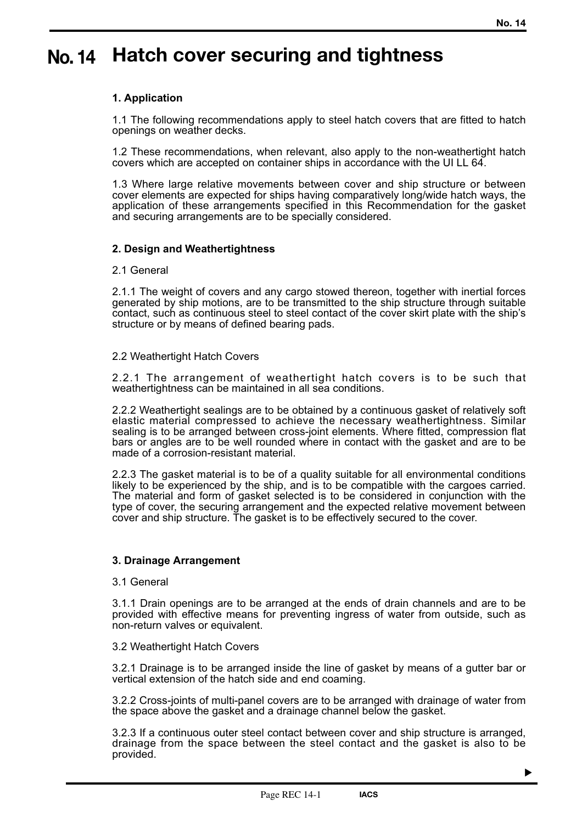# **Hatch cover securing and tightness No. 14**

## **1. Application**

1.1 The following recommendations apply to steel hatch covers that are fitted to hatch openings on weather decks.

1.2 These recommendations, when relevant, also apply to the non-weathertight hatch covers which are accepted on container ships in accordance with the UI LL 64.

1.3 Where large relative movements between cover and ship structure or between cover elements are expected for ships having comparatively long/wide hatch ways, the application of these arrangements specified in this Recommendation for the gasket and securing arrangements are to be specially considered.

### **2. Design and Weathertightness**

### 2.1 General

2.1.1 The weight of covers and any cargo stowed thereon, together with inertial forces generated by ship motions, are to be transmitted to the ship structure through suitable contact, such as continuous steel to steel contact of the cover skirt plate with the ship's structure or by means of defined bearing pads.

### 2.2 Weathertight Hatch Covers

2.2.1 The arrangement of weathertight hatch covers is to be such that weathertightness can be maintained in all sea conditions.

2.2.2 Weathertight sealings are to be obtained by a continuous gasket of relatively soft elastic material compressed to achieve the necessary weathertightness. Similar sealing is to be arranged between cross-joint elements. Where fitted, compression flat bars or angles are to be well rounded where in contact with the gasket and are to be made of a corrosion-resistant material.

2.2.3 The gasket material is to be of a quality suitable for all environmental conditions likely to be experienced by the ship, and is to be compatible with the cargoes carried. The material and form of gasket selected is to be considered in conjunction with the type of cover, the securing arrangement and the expected relative movement between cover and ship structure. The gasket is to be effectively secured to the cover.

### **3. Drainage Arrangement**

### 3.1 General

3.1.1 Drain openings are to be arranged at the ends of drain channels and are to be provided with effective means for preventing ingress of water from outside, such as non-return valves or equivalent.

### 3.2 Weathertight Hatch Covers

3.2.1 Drainage is to be arranged inside the line of gasket by means of a gutter bar or vertical extension of the hatch side and end coaming.

3.2.2 Cross-joints of multi-panel covers are to be arranged with drainage of water from the space above the gasket and a drainage channel below the gasket.

3.2.3 If a continuous outer steel contact between cover and ship structure is arranged, drainage from the space between the steel contact and the gasket is also to be provided.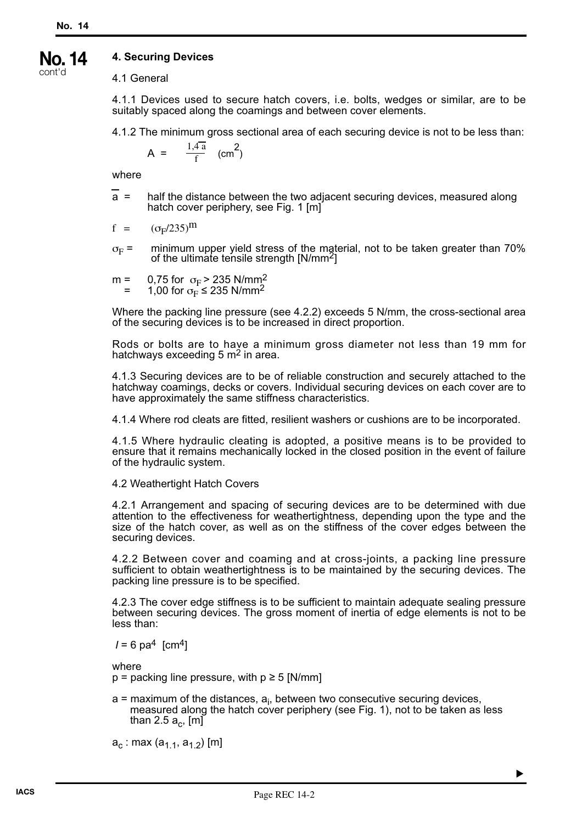#### **4. Securing Devices No. 14**

cont'd

4.1 General

4.1.1 Devices used to secure hatch covers, i.e. bolts, wedges or similar, are to be suitably spaced along the coamings and between cover elements.

4.1.2 The minimum gross sectional area of each securing device is not to be less than:

$$
A = \frac{1.4a}{f} \quad (cm^2)
$$

where

a = half the distance between the two adjacent securing devices, measured along hatch cover periphery, see Fig. 1 [m]

$$
f = (\sigma_F/235)^m
$$

- $\sigma_F$  = minimum upper yield stress of the material, not to be taken greater than 70% of the ultimate tensile strength  $[N/mm^2]$
- m = 0,75 for  $\sigma_F$  > 235 N/mm<sup>2</sup> = 1,00 for  $\sigma_{\rm F}^2$  ≤ 235 N/mm<sup>2</sup>

Where the packing line pressure (see 4.2.2) exceeds 5 N/mm, the cross-sectional area of the securing devices is to be increased in direct proportion.

Rods or bolts are to have a minimum gross diameter not less than 19 mm for hatchways exceeding  $5 \text{ m}^2$  in area.

4.1.3 Securing devices are to be of reliable construction and securely attached to the hatchway coamings, decks or covers. Individual securing devices on each cover are to have approximately the same stiffness characteristics.

4.1.4 Where rod cleats are fitted, resilient washers or cushions are to be incorporated.

4.1.5 Where hydraulic cleating is adopted, a positive means is to be provided to ensure that it remains mechanically locked in the closed position in the event of failure of the hydraulic system.

4.2 Weathertight Hatch Covers

4.2.1 Arrangement and spacing of securing devices are to be determined with due attention to the effectiveness for weathertightness, depending upon the type and the size of the hatch cover, as well as on the stiffness of the cover edges between the securing devices.

4.2.2 Between cover and coaming and at cross-joints, a packing line pressure sufficient to obtain weathertightness is to be maintained by the securing devices. The packing line pressure is to be specified.

4.2.3 The cover edge stiffness is to be sufficient to maintain adequate sealing pressure between securing devices. The gross moment of inertia of edge elements is not to be less than:

 $I = 6$  pa<sup>4</sup> [cm<sup>4</sup>]

where

 $p =$  packing line pressure, with  $p \ge 5$  [N/mm]

a = maximum of the distances, a<sub>i</sub>, between two consecutive securing devices, measured along the hatch cover periphery (see Fig. 1), not to be taken as less than 2.5  $a<sub>c</sub>$ , [m]

 $a_c$  : max  $(a_{1,1}, a_{1,2})$  [m]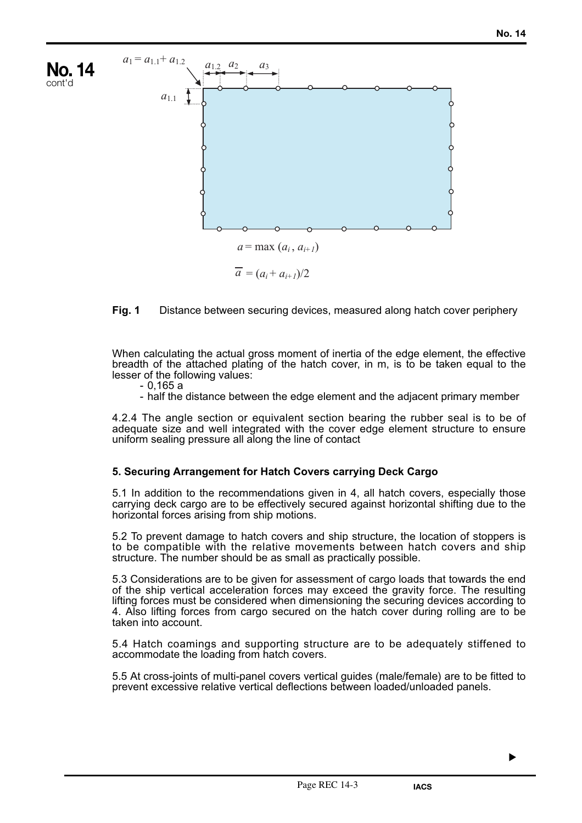

### **Fig. 1** Distance between securing devices, measured along hatch cover periphery

When calculating the actual gross moment of inertia of the edge element, the effective breadth of the attached plating of the hatch cover, in m, is to be taken equal to the lesser of the following values:

- 0,165 a

- half the distance between the edge element and the adjacent primary member

4.2.4 The angle section or equivalent section bearing the rubber seal is to be of adequate size and well integrated with the cover edge element structure to ensure uniform sealing pressure all along the line of contact

### **5. Securing Arrangement for Hatch Covers carrying Deck Cargo**

5.1 In addition to the recommendations given in 4, all hatch covers, especially those carrying deck cargo are to be effectively secured against horizontal shifting due to the horizontal forces arising from ship motions.

5.2 To prevent damage to hatch covers and ship structure, the location of stoppers is to be compatible with the relative movements between hatch covers and ship structure. The number should be as small as practically possible.

5.3 Considerations are to be given for assessment of cargo loads that towards the end of the ship vertical acceleration forces may exceed the gravity force. The resulting lifting forces must be considered when dimensioning the securing devices according to 4. Also lifting forces from cargo secured on the hatch cover during rolling are to be taken into account.

5.4 Hatch coamings and supporting structure are to be adequately stiffened to accommodate the loading from hatch covers.

5.5 At cross-joints of multi-panel covers vertical guides (male/female) are to be fitted to prevent excessive relative vertical deflections between loaded/unloaded panels.

▼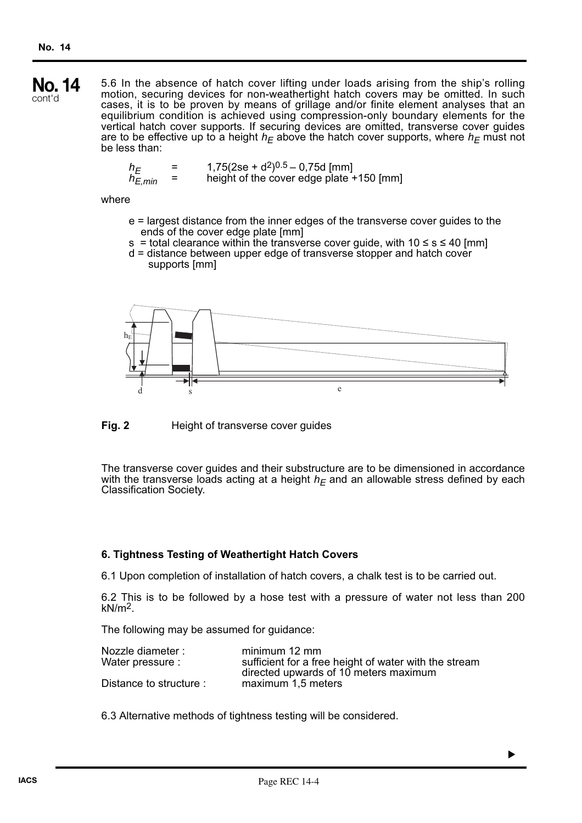5.6 In the absence of hatch cover lifting under loads arising from the ship's rolling motion, securing devices for non-weathertight hatch covers may be omitted. In such cases, it is to be proven by means of grillage and/or finite element analyses that an equilibrium condition is achieved using compression-only boundary elements for the vertical hatch cover supports. If securing devices are omitted, transverse cover guides are to be effective up to a height  $h_F$  above the hatch cover supports, where  $h_F$  must not be less than: **No. 14** cont'd

$$
h_E = 1,75(2se + d^2)^{0.5} - 0,75d
$$
[mm]  

$$
h_{E,min} = \text{height of the cover edge plate} + 150
$$
[mm]

### where

- e = largest distance from the inner edges of the transverse cover guides to the ends of the cover edge plate [mm]
- s = total clearance within the transverse cover guide, with  $10 \le s \le 40$  [mm]
- d = distance between upper edge of transverse stopper and hatch cover supports [mm]



**Fig. 2** Height of transverse cover guides

The transverse cover guides and their substructure are to be dimensioned in accordance with the transverse loads acting at a height  $h_F$  and an allowable stress defined by each Classification Society.

### **6. Tightness Testing of Weathertight Hatch Covers**

6.1 Upon completion of installation of hatch covers, a chalk test is to be carried out.

6.2 This is to be followed by a hose test with a pressure of water not less than 200  $kN/m<sup>2</sup>$ .

▼

The following may be assumed for guidance:

| Nozzle diameter :       | minimum 12 mm                                         |
|-------------------------|-------------------------------------------------------|
| Water pressure :        | sufficient for a free height of water with the stream |
|                         | directed upwards of 10 meters maximum                 |
| Distance to structure : | maximum 1,5 meters                                    |

6.3 Alternative methods of tightness testing will be considered.